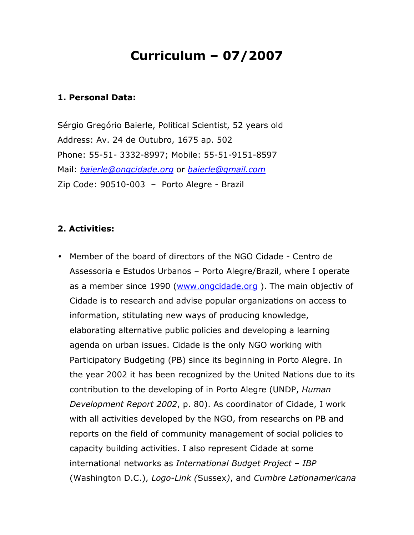# Curriculum – 07/2007

### 1. Personal Data:

Sérgio Gregório Baierle, Political Scientist, 52 years old Address: Av. 24 de Outubro, 1675 ap. 502 Phone: 55-51- 3332-8997; Mobile: 55-51-9151-8597 Mail: baierle@ongcidade.org or baierle@gmail.com Zip Code: 90510-003 – Porto Alegre - Brazil

## 2. Activities:

• Member of the board of directors of the NGO Cidade - Centro de Assessoria e Estudos Urbanos – Porto Alegre/Brazil, where I operate as a member since 1990 (www.ongcidade.org ). The main objectiv of Cidade is to research and advise popular organizations on access to information, stitulating new ways of producing knowledge, elaborating alternative public policies and developing a learning agenda on urban issues. Cidade is the only NGO working with Participatory Budgeting (PB) since its beginning in Porto Alegre. In the year 2002 it has been recognized by the United Nations due to its contribution to the developing of in Porto Alegre (UNDP, Human Development Report 2002, p. 80). As coordinator of Cidade, I work with all activities developed by the NGO, from researchs on PB and reports on the field of community management of social policies to capacity building activities. I also represent Cidade at some international networks as International Budget Project – IBP (Washington D.C.), Logo-Link (Sussex), and Cumbre Lationamericana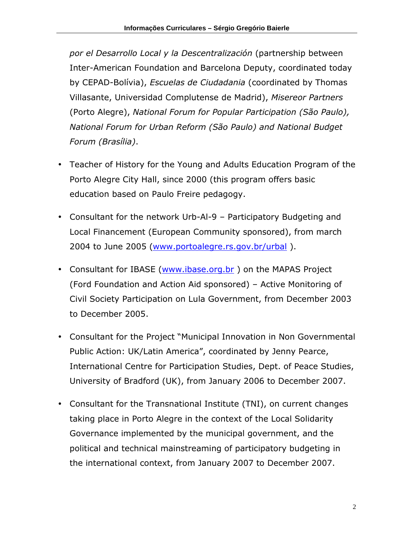por el Desarrollo Local y la Descentralización (partnership between Inter-American Foundation and Barcelona Deputy, coordinated today by CEPAD-Bolívia), Escuelas de Ciudadania (coordinated by Thomas Villasante, Universidad Complutense de Madrid), Misereor Partners (Porto Alegre), National Forum for Popular Participation (São Paulo), National Forum for Urban Reform (São Paulo) and National Budget Forum (Brasília).

- Teacher of History for the Young and Adults Education Program of the Porto Alegre City Hall, since 2000 (this program offers basic education based on Paulo Freire pedagogy.
- Consultant for the network Urb-Al-9 Participatory Budgeting and Local Financement (European Community sponsored), from march 2004 to June 2005 (www.portoalegre.rs.gov.br/urbal ).
- Consultant for IBASE (www.ibase.org.br) on the MAPAS Project (Ford Foundation and Action Aid sponsored) – Active Monitoring of Civil Society Participation on Lula Government, from December 2003 to December 2005.
- Consultant for the Project "Municipal Innovation in Non Governmental Public Action: UK/Latin America", coordinated by Jenny Pearce, International Centre for Participation Studies, Dept. of Peace Studies, University of Bradford (UK), from January 2006 to December 2007.
- Consultant for the Transnational Institute (TNI), on current changes taking place in Porto Alegre in the context of the Local Solidarity Governance implemented by the municipal government, and the political and technical mainstreaming of participatory budgeting in the international context, from January 2007 to December 2007.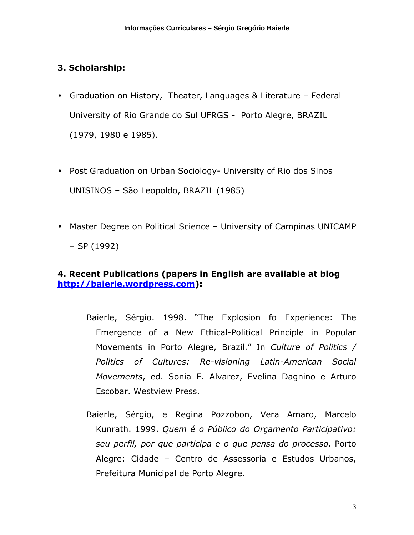# 3. Scholarship:

- Graduation on History, Theater, Languages & Literature Federal University of Rio Grande do Sul UFRGS - Porto Alegre, BRAZIL (1979, 1980 e 1985).
- Post Graduation on Urban Sociology- University of Rio dos Sinos UNISINOS – São Leopoldo, BRAZIL (1985)
- Master Degree on Political Science University of Campinas UNICAMP – SP (1992)

## 4. Recent Publications (papers in English are available at blog http://baierle.wordpress.com):

- Baierle, Sérgio. 1998. "The Explosion fo Experience: The Emergence of a New Ethical-Political Principle in Popular Movements in Porto Alegre, Brazil." In Culture of Politics / Politics of Cultures: Re-visioning Latin-American Social Movements, ed. Sonia E. Alvarez, Evelina Dagnino e Arturo Escobar. Westview Press.
- Baierle, Sérgio, e Regina Pozzobon, Vera Amaro, Marcelo Kunrath. 1999. Quem é o Público do Orçamento Participativo: seu perfil, por que participa e o que pensa do processo. Porto Alegre: Cidade – Centro de Assessoria e Estudos Urbanos, Prefeitura Municipal de Porto Alegre.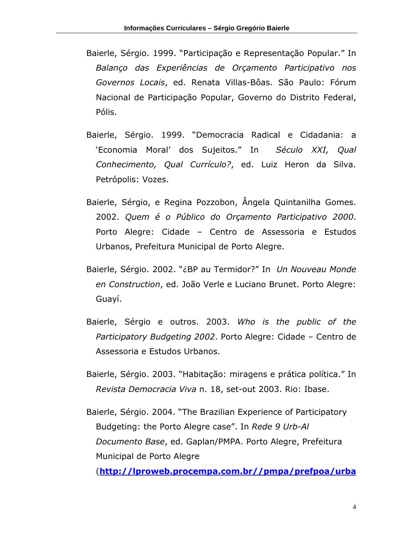- Baierle, Sérgio. 1999. "Participação e Representação Popular." In Balanço das Experiências de Orçamento Participativo nos Governos Locais, ed. Renata Villas-Bôas. São Paulo: Fórum Nacional de Participação Popular, Governo do Distrito Federal, Pólis.
- Baierle, Sérgio. 1999. "Democracia Radical e Cidadania: a 'Economia Moral' dos Sujeitos." In Século XXI, Qual Conhecimento, Qual Currículo?, ed. Luiz Heron da Silva. Petrópolis: Vozes.
- Baierle, Sérgio, e Regina Pozzobon, Ângela Quintanilha Gomes. 2002. Quem é o Público do Orçamento Participativo 2000. Porto Alegre: Cidade – Centro de Assessoria e Estudos Urbanos, Prefeitura Municipal de Porto Alegre.
- Baierle, Sérgio. 2002. "¿BP au Termidor?" In Un Nouveau Monde en Construction, ed. João Verle e Luciano Brunet. Porto Alegre: Guayí.
- Baierle, Sérgio e outros. 2003. Who is the public of the Participatory Budgeting 2002. Porto Alegre: Cidade – Centro de Assessoria e Estudos Urbanos.
- Baierle, Sérgio. 2003. "Habitação: miragens e prática política." In Revista Democracia Viva n. 18, set-out 2003. Rio: Ibase.
- Baierle, Sérgio. 2004. "The Brazilian Experience of Participatory Budgeting: the Porto Alegre case". In Rede 9 Urb-Al Documento Base, ed. Gaplan/PMPA. Porto Alegre, Prefeitura Municipal de Porto Alegre

(http://lproweb.procempa.com.br//pmpa/prefpoa/urba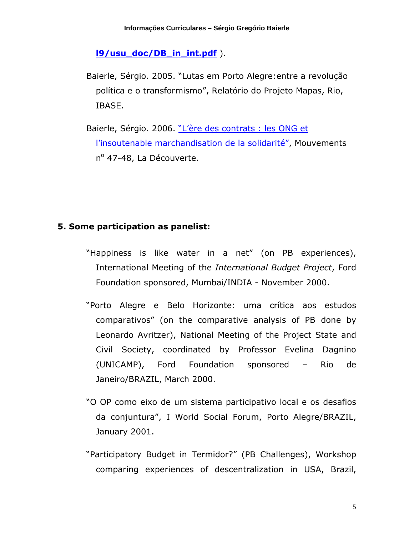#### l9/usu\_doc/DB\_in\_int.pdf ).

- Baierle, Sérgio. 2005. "Lutas em Porto Alegre:entre a revolução política e o transformismo", Relatório do Projeto Mapas, Rio, IBASE.
- Baierle, Sérgio. 2006. "L'ère des contrats : les ONG et l'insoutenable marchandisation de la solidarité", Mouvements nº 47-48, La Découverte.

### 5. Some participation as panelist:

- "Happiness is like water in a net" (on PB experiences), International Meeting of the International Budget Project, Ford Foundation sponsored, Mumbai/INDIA - November 2000.
- "Porto Alegre e Belo Horizonte: uma crítica aos estudos comparativos" (on the comparative analysis of PB done by Leonardo Avritzer), National Meeting of the Project State and Civil Society, coordinated by Professor Evelina Dagnino (UNICAMP), Ford Foundation sponsored – Rio de Janeiro/BRAZIL, March 2000.
- "O OP como eixo de um sistema participativo local e os desafios da conjuntura", I World Social Forum, Porto Alegre/BRAZIL, January 2001.
- "Participatory Budget in Termidor?" (PB Challenges), Workshop comparing experiences of descentralization in USA, Brazil,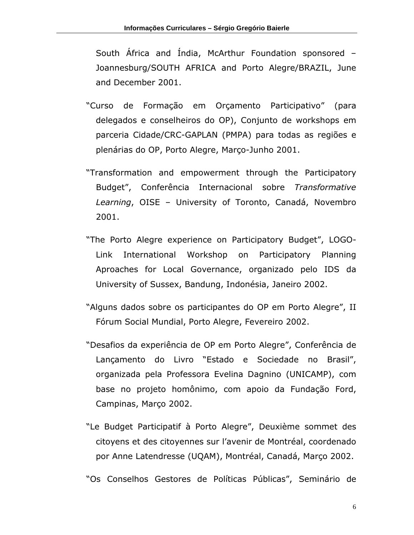South África and Índia, McArthur Foundation sponsored – Joannesburg/SOUTH AFRICA and Porto Alegre/BRAZIL, June and December 2001.

- "Curso de Formação em Orçamento Participativo" (para delegados e conselheiros do OP), Conjunto de workshops em parceria Cidade/CRC-GAPLAN (PMPA) para todas as regiões e plenárias do OP, Porto Alegre, Março-Junho 2001.
- "Transformation and empowerment through the Participatory Budget", Conferência Internacional sobre Transformative Learning, OISE – University of Toronto, Canadá, Novembro 2001.
- "The Porto Alegre experience on Participatory Budget", LOGO-Link International Workshop on Participatory Planning Aproaches for Local Governance, organizado pelo IDS da University of Sussex, Bandung, Indonésia, Janeiro 2002.
- "Alguns dados sobre os participantes do OP em Porto Alegre", II Fórum Social Mundial, Porto Alegre, Fevereiro 2002.
- "Desafios da experiência de OP em Porto Alegre", Conferência de Lançamento do Livro "Estado e Sociedade no Brasil", organizada pela Professora Evelina Dagnino (UNICAMP), com base no projeto homônimo, com apoio da Fundação Ford, Campinas, Março 2002.
- "Le Budget Participatif à Porto Alegre", Deuxième sommet des citoyens et des citoyennes sur l'avenir de Montréal, coordenado por Anne Latendresse (UQAM), Montréal, Canadá, Março 2002.

"Os Conselhos Gestores de Políticas Públicas", Seminário de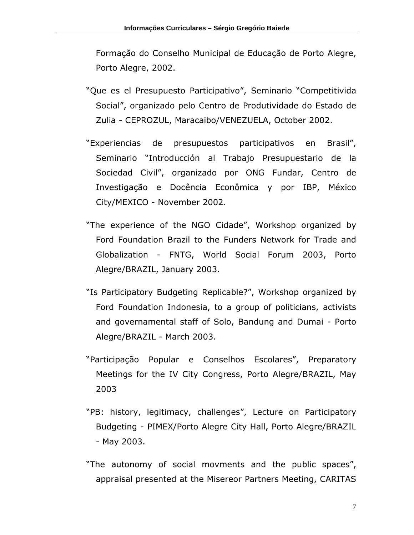Formação do Conselho Municipal de Educação de Porto Alegre, Porto Alegre, 2002.

- "Que es el Presupuesto Participativo", Seminario "Competitivida Social", organizado pelo Centro de Produtividade do Estado de Zulia - CEPROZUL, Maracaibo/VENEZUELA, October 2002.
- "Experiencias de presupuestos participativos en Brasil", Seminario "Introducción al Trabajo Presupuestario de la Sociedad Civil", organizado por ONG Fundar, Centro de Investigação e Docência Econômica y por IBP, México City/MEXICO - November 2002.
- "The experience of the NGO Cidade", Workshop organized by Ford Foundation Brazil to the Funders Network for Trade and Globalization - FNTG, World Social Forum 2003, Porto Alegre/BRAZIL, January 2003.
- "Is Participatory Budgeting Replicable?", Workshop organized by Ford Foundation Indonesia, to a group of politicians, activists and governamental staff of Solo, Bandung and Dumai - Porto Alegre/BRAZIL - March 2003.
- "Participação Popular e Conselhos Escolares", Preparatory Meetings for the IV City Congress, Porto Alegre/BRAZIL, May 2003
- "PB: history, legitimacy, challenges", Lecture on Participatory Budgeting - PIMEX/Porto Alegre City Hall, Porto Alegre/BRAZIL - May 2003.
- "The autonomy of social movments and the public spaces", appraisal presented at the Misereor Partners Meeting, CARITAS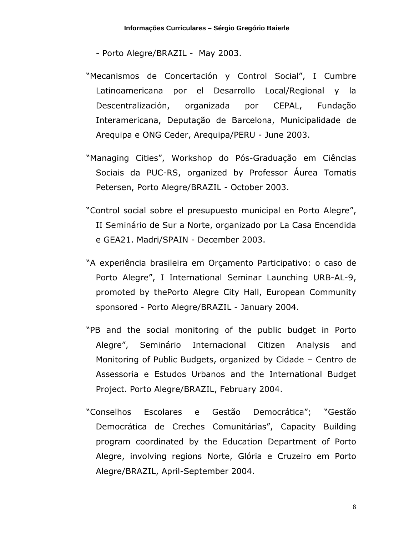- Porto Alegre/BRAZIL May 2003.
- "Mecanismos de Concertación y Control Social", I Cumbre Latinoamericana por el Desarrollo Local/Regional y la Descentralización, organizada por CEPAL, Fundação Interamericana, Deputação de Barcelona, Municipalidade de Arequipa e ONG Ceder, Arequipa/PERU - June 2003.
- "Managing Cities", Workshop do Pós-Graduação em Ciências Sociais da PUC-RS, organized by Professor Áurea Tomatis Petersen, Porto Alegre/BRAZIL - October 2003.
- "Control social sobre el presupuesto municipal en Porto Alegre", II Seminário de Sur a Norte, organizado por La Casa Encendida e GEA21. Madri/SPAIN - December 2003.
- "A experiência brasileira em Orçamento Participativo: o caso de Porto Alegre", I International Seminar Launching URB-AL-9, promoted by thePorto Alegre City Hall, European Community sponsored - Porto Alegre/BRAZIL - January 2004.
- "PB and the social monitoring of the public budget in Porto Alegre", Seminário Internacional Citizen Analysis and Monitoring of Public Budgets, organized by Cidade – Centro de Assessoria e Estudos Urbanos and the International Budget Project. Porto Alegre/BRAZIL, February 2004.
- "Conselhos Escolares e Gestão Democrática"; "Gestão Democrática de Creches Comunitárias", Capacity Building program coordinated by the Education Department of Porto Alegre, involving regions Norte, Glória e Cruzeiro em Porto Alegre/BRAZIL, April-September 2004.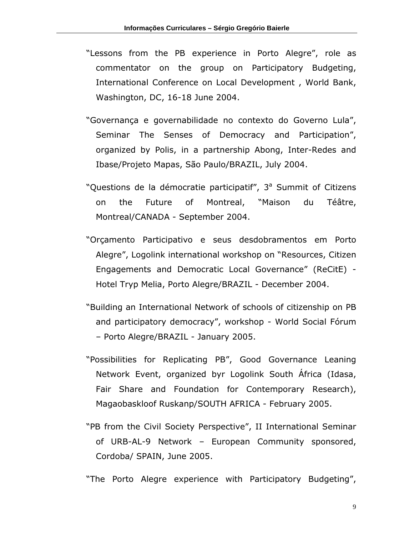- "Lessons from the PB experience in Porto Alegre", role as commentator on the group on Participatory Budgeting, International Conference on Local Development , World Bank, Washington, DC, 16-18 June 2004.
- "Governança e governabilidade no contexto do Governo Lula", Seminar The Senses of Democracy and Participation", organized by Polis, in a partnership Abong, Inter-Redes and Ibase/Projeto Mapas, São Paulo/BRAZIL, July 2004.
- "Questions de la démocratie participatif", 3<sup>ª</sup> Summit of Citizens on the Future of Montreal, "Maison du Téâtre, Montreal/CANADA - September 2004.
- "Orçamento Participativo e seus desdobramentos em Porto Alegre", Logolink international workshop on "Resources, Citizen Engagements and Democratic Local Governance" (ReCitE) - Hotel Tryp Melia, Porto Alegre/BRAZIL - December 2004.
- "Building an International Network of schools of citizenship on PB and participatory democracy", workshop - World Social Fórum – Porto Alegre/BRAZIL - January 2005.
- "Possibilities for Replicating PB", Good Governance Leaning Network Event, organized byr Logolink South África (Idasa, Fair Share and Foundation for Contemporary Research), Magaobaskloof Ruskanp/SOUTH AFRICA - February 2005.
- "PB from the Civil Society Perspective", II International Seminar of URB-AL-9 Network – European Community sponsored, Cordoba/ SPAIN, June 2005.

"The Porto Alegre experience with Participatory Budgeting",